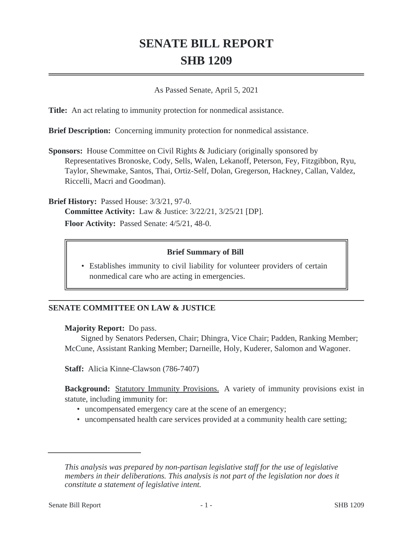# **SENATE BILL REPORT SHB 1209**

As Passed Senate, April 5, 2021

**Title:** An act relating to immunity protection for nonmedical assistance.

**Brief Description:** Concerning immunity protection for nonmedical assistance.

**Sponsors:** House Committee on Civil Rights & Judiciary (originally sponsored by Representatives Bronoske, Cody, Sells, Walen, Lekanoff, Peterson, Fey, Fitzgibbon, Ryu, Taylor, Shewmake, Santos, Thai, Ortiz-Self, Dolan, Gregerson, Hackney, Callan, Valdez, Riccelli, Macri and Goodman).

**Brief History:** Passed House: 3/3/21, 97-0. **Committee Activity:** Law & Justice: 3/22/21, 3/25/21 [DP]. **Floor Activity:** Passed Senate: 4/5/21, 48-0.

#### **Brief Summary of Bill**

• Establishes immunity to civil liability for volunteer providers of certain nonmedical care who are acting in emergencies.

## **SENATE COMMITTEE ON LAW & JUSTICE**

#### **Majority Report:** Do pass.

Signed by Senators Pedersen, Chair; Dhingra, Vice Chair; Padden, Ranking Member; McCune, Assistant Ranking Member; Darneille, Holy, Kuderer, Salomon and Wagoner.

**Staff:** Alicia Kinne-Clawson (786-7407)

**Background:** Statutory Immunity Provisions. A variety of immunity provisions exist in statute, including immunity for:

- uncompensated emergency care at the scene of an emergency;
- uncompensated health care services provided at a community health care setting;

*This analysis was prepared by non-partisan legislative staff for the use of legislative members in their deliberations. This analysis is not part of the legislation nor does it constitute a statement of legislative intent.*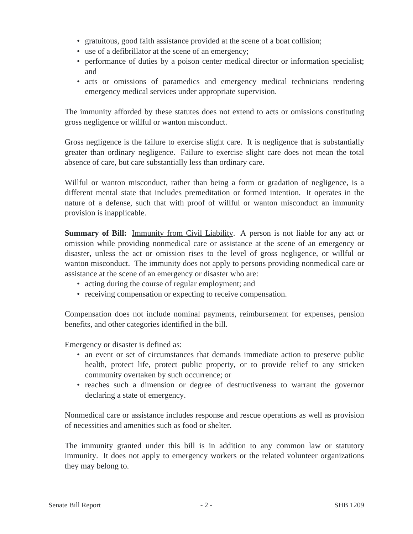- gratuitous, good faith assistance provided at the scene of a boat collision;
- use of a defibrillator at the scene of an emergency;
- performance of duties by a poison center medical director or information specialist; and
- acts or omissions of paramedics and emergency medical technicians rendering emergency medical services under appropriate supervision.

The immunity afforded by these statutes does not extend to acts or omissions constituting gross negligence or willful or wanton misconduct.

Gross negligence is the failure to exercise slight care. It is negligence that is substantially greater than ordinary negligence. Failure to exercise slight care does not mean the total absence of care, but care substantially less than ordinary care.

Willful or wanton misconduct, rather than being a form or gradation of negligence, is a different mental state that includes premeditation or formed intention. It operates in the nature of a defense, such that with proof of willful or wanton misconduct an immunity provision is inapplicable.

**Summary of Bill:** Immunity from Civil Liability. A person is not liable for any act or omission while providing nonmedical care or assistance at the scene of an emergency or disaster, unless the act or omission rises to the level of gross negligence, or willful or wanton misconduct. The immunity does not apply to persons providing nonmedical care or assistance at the scene of an emergency or disaster who are:

- acting during the course of regular employment; and
- receiving compensation or expecting to receive compensation.

Compensation does not include nominal payments, reimbursement for expenses, pension benefits, and other categories identified in the bill.

Emergency or disaster is defined as:

- an event or set of circumstances that demands immediate action to preserve public health, protect life, protect public property, or to provide relief to any stricken community overtaken by such occurrence; or
- reaches such a dimension or degree of destructiveness to warrant the governor declaring a state of emergency.

Nonmedical care or assistance includes response and rescue operations as well as provision of necessities and amenities such as food or shelter.

The immunity granted under this bill is in addition to any common law or statutory immunity. It does not apply to emergency workers or the related volunteer organizations they may belong to.